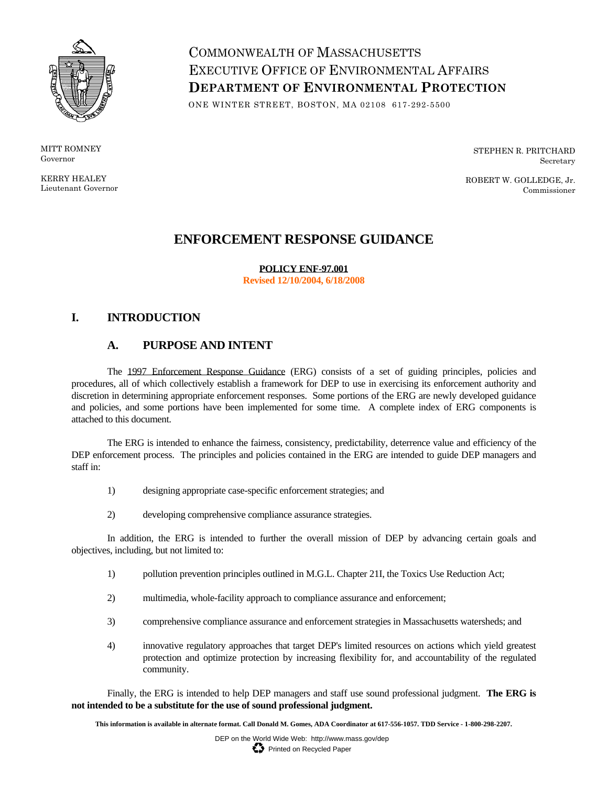

MITT ROMNEY Governor

KERRY HEALEY Lieutenant Governor

# COMMONWEALTH OF MASSACHUSETTS EXECUTIVE OFFICE OF ENVIRONMENTAL AFFAIRS **DEPARTMENT OF ENVIRONMENTAL PROTECTION**

ONE WINTER STREET, BOSTON, MA 02108 617-292-5500

STEPHEN R. PRITCHARD Secretary

ROBERT W. GOLLEDGE, Jr. Commissioner

# **ENFORCEMENT RESPONSE GUIDANCE**

**POLICY ENF-97.001** 

**Revised 12/10/2004, 6/18/2008** 

# **I. INTRODUCTION**

# **A. PURPOSE AND INTENT**

The 1997 Enforcement Response Guidance (ERG) consists of a set of guiding principles, policies and procedures, all of which collectively establish a framework for DEP to use in exercising its enforcement authority and discretion in determining appropriate enforcement responses. Some portions of the ERG are newly developed guidance and policies, and some portions have been implemented for some time. A complete index of ERG components is attached to this document.

The ERG is intended to enhance the fairness, consistency, predictability, deterrence value and efficiency of the DEP enforcement process. The principles and policies contained in the ERG are intended to guide DEP managers and staff in:

- 1) designing appropriate case-specific enforcement strategies; and
- 2) developing comprehensive compliance assurance strategies.

 In addition, the ERG is intended to further the overall mission of DEP by advancing certain goals and objectives, including, but not limited to:

- 1) pollution prevention principles outlined in M.G.L. Chapter 21I, the Toxics Use Reduction Act;
- 2) multimedia, whole-facility approach to compliance assurance and enforcement;
- 3) comprehensive compliance assurance and enforcement strategies in Massachusetts watersheds; and
- 4) innovative regulatory approaches that target DEP's limited resources on actions which yield greatest protection and optimize protection by increasing flexibility for, and accountability of the regulated community.

 Finally, the ERG is intended to help DEP managers and staff use sound professional judgment. **The ERG is**  not intended to be a substitute for the use of sound professional judgment.

This information is available in alternate format. Call Donald M. Gomes, ADA Coordinator at 617-556-1057. TDD Service - 1-800-298-2207.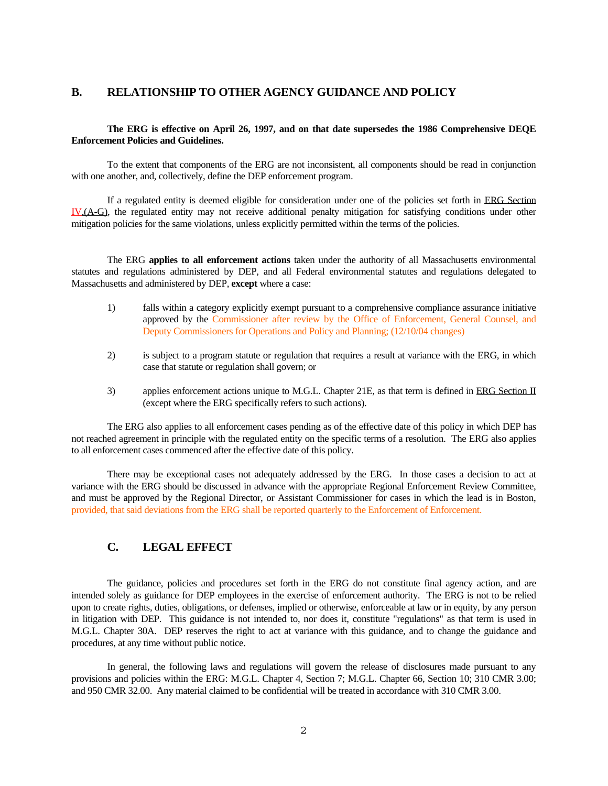### **B. RELATIONSHIP TO OTHER AGENCY GUIDANCE AND POLICY**

### **The ERG is effective on April 26, 1997, and on that date supersedes the 1986 Comprehensive DEQE Enforcement Policies and Guidelines.**

 To the extent that components of the ERG are not inconsistent, all components should be read in conjunction with one another, and, collectively, define the DEP enforcement program.

If a regulated entity is deemed eligible for consideration under one of the policies set forth in ERG Section IV.(A-G), the regulated entity may not receive additional penalty mitigation for satisfying conditions under other mitigation policies for the same violations, unless explicitly permitted within the terms of the policies.

 The ERG **applies to all enforcement actions** taken under the authority of all Massachusetts environmental statutes and regulations administered by DEP, and all Federal environmental statutes and regulations delegated to Massachusetts and administered by DEP, **except** where a case:

- 1) falls within a category explicitly exempt pursuant to a comprehensive compliance assurance initiative approved by the Commissioner after review by the Office of Enforcement, General Counsel, and Deputy Commissioners for Operations and Policy and Planning; (12/10/04 changes)
- 2) is subject to a program statute or regulation that requires a result at variance with the ERG, in which case that statute or regulation shall govern; or
- 3) applies enforcement actions unique to M.G.L. Chapter 21E, as that term is defined in ERG Section II (except where the ERG specifically refers to such actions).

 The ERG also applies to all enforcement cases pending as of the effective date of this policy in which DEP has not reached agreement in principle with the regulated entity on the specific terms of a resolution. The ERG also applies to all enforcement cases commenced after the effective date of this policy.

 and must be approved by the Regional Director, or Assistant Commissioner for cases in which the lead is in Boston, There may be exceptional cases not adequately addressed by the ERG. In those cases a decision to act at variance with the ERG should be discussed in advance with the appropriate Regional Enforcement Review Committee, provided, that said deviations from the ERG shall be reported quarterly to the Enforcement of Enforcement.

# **C. LEGAL EFFECT**

The guidance, policies and procedures set forth in the ERG do not constitute final agency action, and are intended solely as guidance for DEP employees in the exercise of enforcement authority. The ERG is not to be relied upon to create rights, duties, obligations, or defenses, implied or otherwise, enforceable at law or in equity, by any person in litigation with DEP. This guidance is not intended to, nor does it, constitute "regulations" as that term is used in M.G.L. Chapter 30A. DEP reserves the right to act at variance with this guidance, and to change the guidance and procedures, at any time without public notice.

In general, the following laws and regulations will govern the release of disclosures made pursuant to any provisions and policies within the ERG: M.G.L. Chapter 4, Section 7; M.G.L. Chapter 66, Section 10; 310 CMR 3.00; and 950 CMR 32.00. Any material claimed to be confidential will be treated in accordance with 310 CMR 3.00.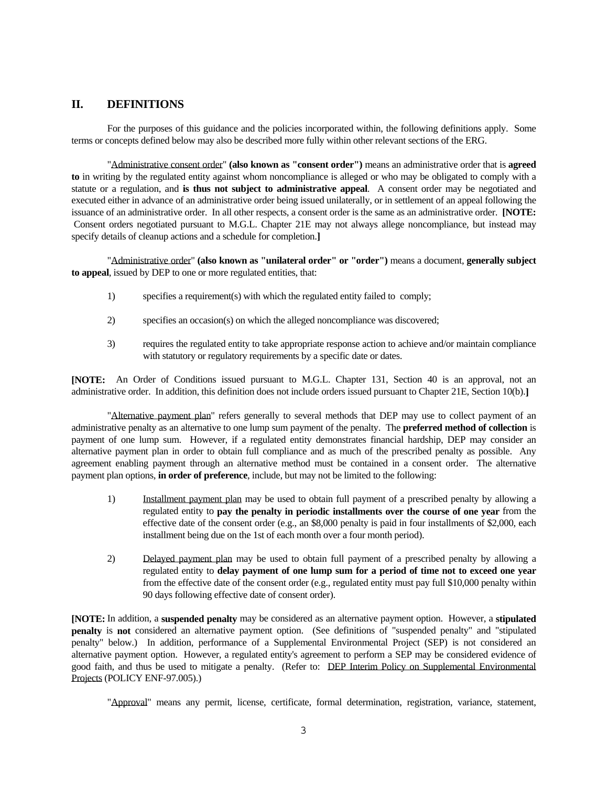# **II. DEFINITIONS**

For the purposes of this guidance and the policies incorporated within, the following definitions apply. Some terms or concepts defined below may also be described more fully within other relevant sections of the ERG.

 Consent orders negotiated pursuant to M.G.L. Chapter 21E may not always allege noncompliance, but instead may specify details of cleanup actions and a schedule for completion.**]** "Administrative consent order" **(also known as "consent order")** means an administrative order that is **agreed to** in writing by the regulated entity against whom noncompliance is alleged or who may be obligated to comply with a statute or a regulation, and **is thus not subject to administrative appeal**. A consent order may be negotiated and executed either in advance of an administrative order being issued unilaterally, or in settlement of an appeal following the issuance of an administrative order. In all other respects, a consent order is the same as an administrative order. **[NOTE:** 

 "Administrative order" **(also known as "unilateral order" or "order")** means a document, **generally subject to appeal**, issued by DEP to one or more regulated entities, that:

- 1) specifies a requirement(s) with which the regulated entity failed to comply;
- 2) specifies an occasion(s) on which the alleged noncompliance was discovered;
- 3) requires the regulated entity to take appropriate response action to achieve and/or maintain compliance with statutory or regulatory requirements by a specific date or dates.

 **[NOTE:** An Order of Conditions issued pursuant to M.G.L. Chapter 131, Section 40 is an approval, not an administrative order. In addition, this definition does not include orders issued pursuant to Chapter 21E, Section 10(b).**]** 

"Alternative payment plan" refers generally to several methods that DEP may use to collect payment of an administrative penalty as an alternative to one lump sum payment of the penalty. The **preferred method of collection** is payment of one lump sum. However, if a regulated entity demonstrates financial hardship, DEP may consider an alternative payment plan in order to obtain full compliance and as much of the prescribed penalty as possible. Any agreement enabling payment through an alternative method must be contained in a consent order. The alternative payment plan options, **in order of preference**, include, but may not be limited to the following:

- 1) Installment payment plan may be used to obtain full payment of a prescribed penalty by allowing a regulated entity to **pay the penalty in periodic installments over the course of one year** from the effective date of the consent order (e.g., an \$8,000 penalty is paid in four installments of \$2,000, each installment being due on the 1st of each month over a four month period).
- 2) Delayed payment plan may be used to obtain full payment of a prescribed penalty by allowing a regulated entity to **delay payment of one lump sum for a period of time not to exceed one year**  from the effective date of the consent order (e.g., regulated entity must pay full \$10,000 penalty within 90 days following effective date of consent order).

 alternative payment option. However, a regulated entity's agreement to perform a SEP may be considered evidence of **[NOTE:** In addition, a **suspended penalty** may be considered as an alternative payment option. However, a **stipulated penalty** is **not** considered an alternative payment option. (See definitions of "suspended penalty" and "stipulated penalty" below.) In addition, performance of a Supplemental Environmental Project (SEP) is not considered an good faith, and thus be used to mitigate a penalty. (Refer to: DEP Interim Policy on Supplemental Environmental Projects (POLICY ENF-97.005).)

"Approval" means any permit, license, certificate, formal determination, registration, variance, statement,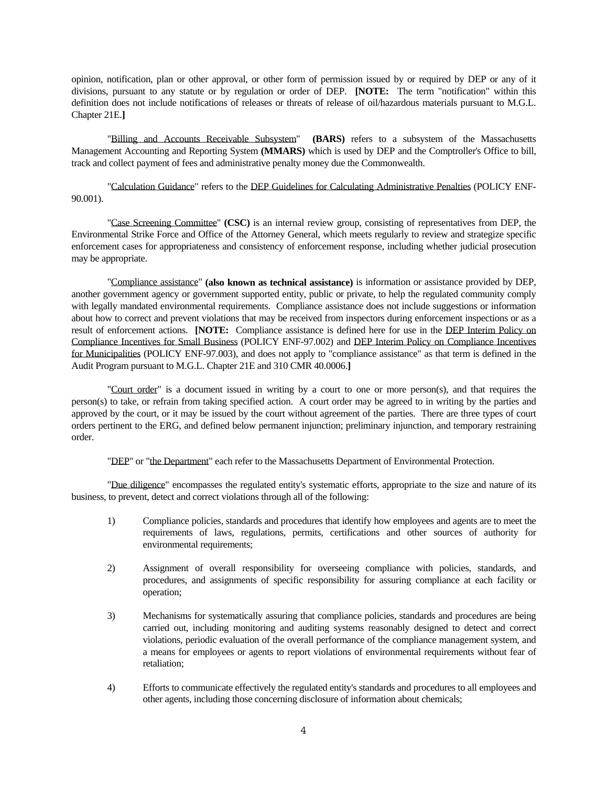divisions, pursuant to any statute or by regulation or order of DEP. **[NOTE:** The term "notification" within this opinion, notification, plan or other approval, or other form of permission issued by or required by DEP or any of it definition does not include notifications of releases or threats of release of oil/hazardous materials pursuant to M.G.L. Chapter 21E.**]** 

"Billing and Accounts Receivable Subsystem" **(BARS)** refers to a subsystem of the Massachusetts Management Accounting and Reporting System **(MMARS)** which is used by DEP and the Comptroller's Office to bill, track and collect payment of fees and administrative penalty money due the Commonwealth.

"Calculation Guidance" refers to the DEP Guidelines for Calculating Administrative Penalties (POLICY ENF-90.001).

"Case Screening Committee" **(CSC)** is an internal review group, consisting of representatives from DEP, the Environmental Strike Force and Office of the Attorney General, which meets regularly to review and strategize specific enforcement cases for appropriateness and consistency of enforcement response, including whether judicial prosecution may be appropriate.

 result of enforcement actions. **[NOTE:** Compliance assistance is defined here for use in the DEP Interim Policy on "Compliance assistance" **(also known as technical assistance)** is information or assistance provided by DEP, another government agency or government supported entity, public or private, to help the regulated community comply with legally mandated environmental requirements. Compliance assistance does not include suggestions or information about how to correct and prevent violations that may be received from inspectors during enforcement inspections or as a Compliance Incentives for Small Business (POLICY ENF-97.002) and DEP Interim Policy on Compliance Incentives for Municipalities (POLICY ENF-97.003), and does not apply to "compliance assistance" as that term is defined in the Audit Program pursuant to M.G.L. Chapter 21E and 310 CMR 40.0006.**]**

 "Court order" is a document issued in writing by a court to one or more person(s), and that requires the person(s) to take, or refrain from taking specified action. A court order may be agreed to in writing by the parties and approved by the court, or it may be issued by the court without agreement of the parties. There are three types of court orders pertinent to the ERG, and defined below permanent injunction; preliminary injunction, and temporary restraining order.

"DEP" or "the Department" each refer to the Massachusetts Department of Environmental Protection.

 "Due diligence" encompasses the regulated entity's systematic efforts, appropriate to the size and nature of its business, to prevent, detect and correct violations through all of the following:

- 1) Compliance policies, standards and procedures that identify how employees and agents are to meet the requirements of laws, regulations, permits, certifications and other sources of authority for environmental requirements;
- 2) Assignment of overall responsibility for overseeing compliance with policies, standards, and procedures, and assignments of specific responsibility for assuring compliance at each facility or operation;
- 3) Mechanisms for systematically assuring that compliance policies, standards and procedures are being carried out, including monitoring and auditing systems reasonably designed to detect and correct violations, periodic evaluation of the overall performance of the compliance management system, and a means for employees or agents to report violations of environmental requirements without fear of retaliation;
- 4) Efforts to communicate effectively the regulated entity's standards and procedures to all employees and other agents, including those concerning disclosure of information about chemicals;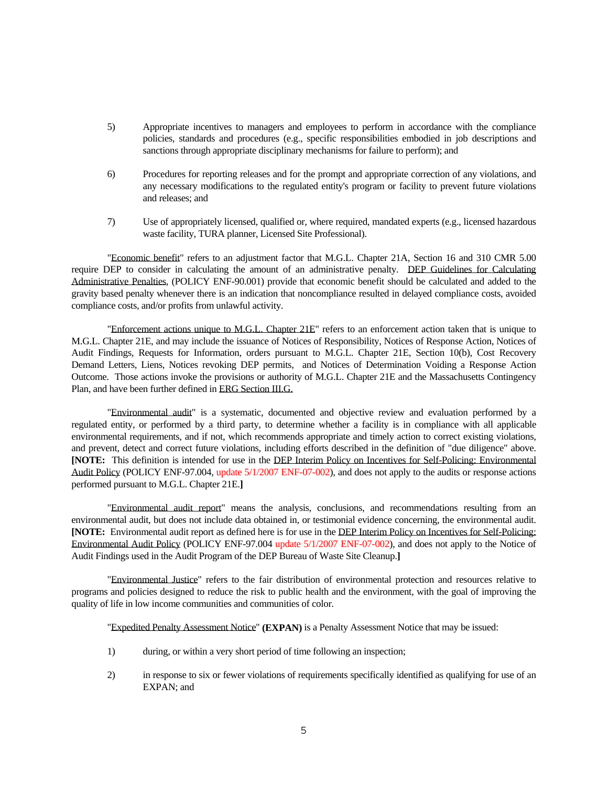- 5) Appropriate incentives to managers and employees to perform in accordance with the compliance policies, standards and procedures (e.g., specific responsibilities embodied in job descriptions and sanctions through appropriate disciplinary mechanisms for failure to perform); and
- 6) Procedures for reporting releases and for the prompt and appropriate correction of any violations, and any necessary modifications to the regulated entity's program or facility to prevent future violations and releases; and
- 7) Use of appropriately licensed, qualified or, where required, mandated experts (e.g., licensed hazardous waste facility, TURA planner, Licensed Site Professional).

require DEP to consider in calculating the amount of an administrative penalty. DEP Guidelines for Calculating "Economic benefit" refers to an adjustment factor that M.G.L. Chapter 21A, Section 16 and 310 CMR 5.00 Administrative Penalties, (POLICY ENF-90.001) provide that economic benefit should be calculated and added to the gravity based penalty whenever there is an indication that noncompliance resulted in delayed compliance costs, avoided compliance costs, and/or profits from unlawful activity.

 Plan, and have been further defined in ERG Section III.G. "Enforcement actions unique to M.G.L. Chapter 21E" refers to an enforcement action taken that is unique to M.G.L. Chapter 21E, and may include the issuance of Notices of Responsibility, Notices of Response Action, Notices of Audit Findings, Requests for Information, orders pursuant to M.G.L. Chapter 21E, Section 10(b), Cost Recovery Demand Letters, Liens, Notices revoking DEP permits, and Notices of Determination Voiding a Response Action Outcome. Those actions invoke the provisions or authority of M.G.L. Chapter 21E and the Massachusetts Contingency

 **[NOTE:** This definition is intended for use in the DEP Interim Policy on Incentives for Self-Policing: Environmental "Environmental audit" is a systematic, documented and objective review and evaluation performed by a regulated entity, or performed by a third party, to determine whether a facility is in compliance with all applicable environmental requirements, and if not, which recommends appropriate and timely action to correct existing violations, and prevent, detect and correct future violations, including efforts described in the definition of "due diligence" above. Audit Policy (POLICY ENF-97.004, update 5/1/2007 ENF-07-002), and does not apply to the audits or response actions performed pursuant to M.G.L. Chapter 21E.**]**

 "Environmental audit report" means the analysis, conclusions, and recommendations resulting from an environmental audit, but does not include data obtained in, or testimonial evidence concerning, the environmental audit. **[NOTE:** Environmental audit report as defined here is for use in the DEP Interim Policy on Incentives for Self-Policing: Environmental Audit Policy (POLICY ENF-97.004 update 5/1/2007 ENF-07-002), and does not apply to the Notice of Audit Findings used in the Audit Program of the DEP Bureau of Waste Site Cleanup.**]**

 programs and policies designed to reduce the risk to public health and the environment, with the goal of improving the "Environmental Justice" refers to the fair distribution of environmental protection and resources relative to quality of life in low income communities and communities of color.

"Expedited Penalty Assessment Notice" **(EXPAN)** is a Penalty Assessment Notice that may be issued:

- 1) during, or within a very short period of time following an inspection;
- 2) in response to six or fewer violations of requirements specifically identified as qualifying for use of an EXPAN; and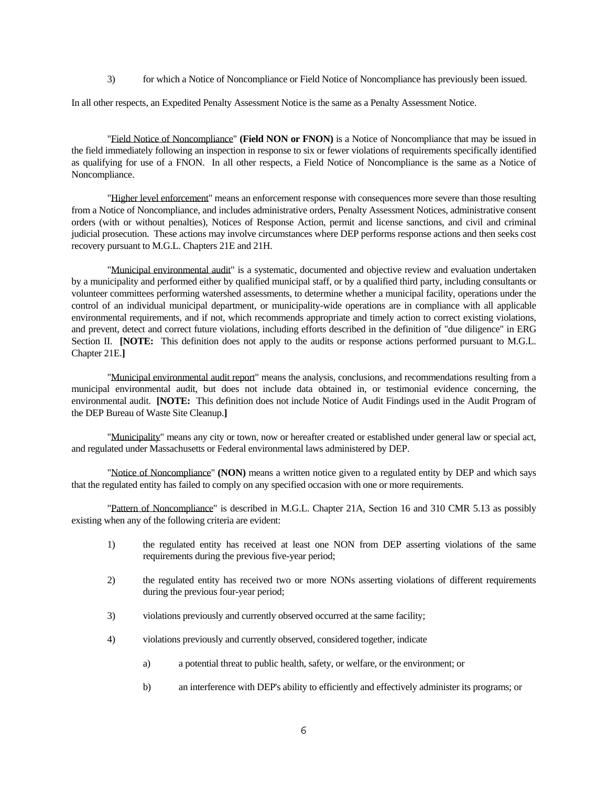3) for which a Notice of Noncompliance or Field Notice of Noncompliance has previously been issued.

In all other respects, an Expedited Penalty Assessment Notice is the same as a Penalty Assessment Notice.

"Field Notice of Noncompliance" **(Field NON or FNON)** is a Notice of Noncompliance that may be issued in the field immediately following an inspection in response to six or fewer violations of requirements specifically identified as qualifying for use of a FNON. In all other respects, a Field Notice of Noncompliance is the same as a Notice of Noncompliance.

 "Higher level enforcement" means an enforcement response with consequences more severe than those resulting from a Notice of Noncompliance, and includes administrative orders, Penalty Assessment Notices, administrative consent orders (with or without penalties), Notices of Response Action, permit and license sanctions, and civil and criminal judicial prosecution. These actions may involve circumstances where DEP performs response actions and then seeks cost recovery pursuant to M.G.L. Chapters 21E and 21H.

 control of an individual municipal department, or municipality-wide operations are in compliance with all applicable "Municipal environmental audit" is a systematic, documented and objective review and evaluation undertaken by a municipality and performed either by qualified municipal staff, or by a qualified third party, including consultants or volunteer committees performing watershed assessments, to determine whether a municipal facility, operations under the environmental requirements, and if not, which recommends appropriate and timely action to correct existing violations, and prevent, detect and correct future violations, including efforts described in the definition of "due diligence" in ERG Section II. **[NOTE:** This definition does not apply to the audits or response actions performed pursuant to M.G.L. Chapter 21E.**]** 

 municipal environmental audit, but does not include data obtained in, or testimonial evidence concerning, the environmental audit. **[NOTE:** This definition does not include Notice of Audit Findings used in the Audit Program of "Municipal environmental audit report" means the analysis, conclusions, and recommendations resulting from a the DEP Bureau of Waste Site Cleanup.**]**

 "Municipality" means any city or town, now or hereafter created or established under general law or special act, and regulated under Massachusetts or Federal environmental laws administered by DEP.

"Notice of Noncompliance" **(NON)** means a written notice given to a regulated entity by DEP and which says that the regulated entity has failed to comply on any specified occasion with one or more requirements.

"Pattern of Noncompliance" is described in M.G.L. Chapter 21A, Section 16 and 310 CMR 5.13 as possibly existing when any of the following criteria are evident:

- 1) the regulated entity has received at least one NON from DEP asserting violations of the same requirements during the previous five-year period;
- 2) the regulated entity has received two or more NONs asserting violations of different requirements during the previous four-year period;
- 3) violations previously and currently observed occurred at the same facility;
- 4) violations previously and currently observed, considered together, indicate
	- a) a potential threat to public health, safety, or welfare, or the environment; or
	- b) an interference with DEP's ability to efficiently and effectively administer its programs; or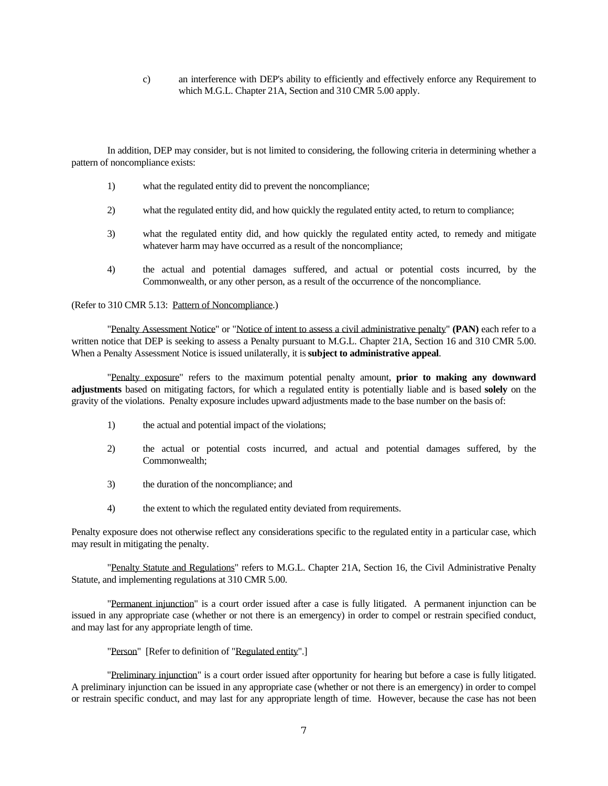c) an interference with DEP's ability to efficiently and effectively enforce any Requirement to which M.G.L. Chapter 21A, Section and 310 CMR 5.00 apply.

In addition, DEP may consider, but is not limited to considering, the following criteria in determining whether a pattern of noncompliance exists:

- 1) what the regulated entity did to prevent the noncompliance;
- 2) what the regulated entity did, and how quickly the regulated entity acted, to return to compliance;
- 3) what the regulated entity did, and how quickly the regulated entity acted, to remedy and mitigate whatever harm may have occurred as a result of the noncompliance;
- 4) the actual and potential damages suffered, and actual or potential costs incurred, by the Commonwealth, or any other person, as a result of the occurrence of the noncompliance.

### (Refer to 310 CMR 5.13: Pattern of Noncompliance.)

"Penalty Assessment Notice" or "Notice of intent to assess a civil administrative penalty" **(PAN)** each refer to a written notice that DEP is seeking to assess a Penalty pursuant to M.G.L. Chapter 21A, Section 16 and 310 CMR 5.00. When a Penalty Assessment Notice is issued unilaterally, it is **subject to administrative appeal**.

 "Penalty exposure" refers to the maximum potential penalty amount, **prior to making any downward adjustments** based on mitigating factors, for which a regulated entity is potentially liable and is based **solely** on the gravity of the violations. Penalty exposure includes upward adjustments made to the base number on the basis of:

- 1) the actual and potential impact of the violations;
- 2) the actual or potential costs incurred, and actual and potential damages suffered, by the Commonwealth;
- 3) the duration of the noncompliance; and
- 4) the extent to which the regulated entity deviated from requirements.

Penalty exposure does not otherwise reflect any considerations specific to the regulated entity in a particular case, which may result in mitigating the penalty.

"Penalty Statute and Regulations" refers to M.G.L. Chapter 21A, Section 16, the Civil Administrative Penalty Statute, and implementing regulations at 310 CMR 5.00.

 "Permanent injunction" is a court order issued after a case is fully litigated. A permanent injunction can be issued in any appropriate case (whether or not there is an emergency) in order to compel or restrain specified conduct, and may last for any appropriate length of time.

"Person" [Refer to definition of "Regulated entity".]

 "Preliminary injunction" is a court order issued after opportunity for hearing but before a case is fully litigated. A preliminary injunction can be issued in any appropriate case (whether or not there is an emergency) in order to compel or restrain specific conduct, and may last for any appropriate length of time. However, because the case has not been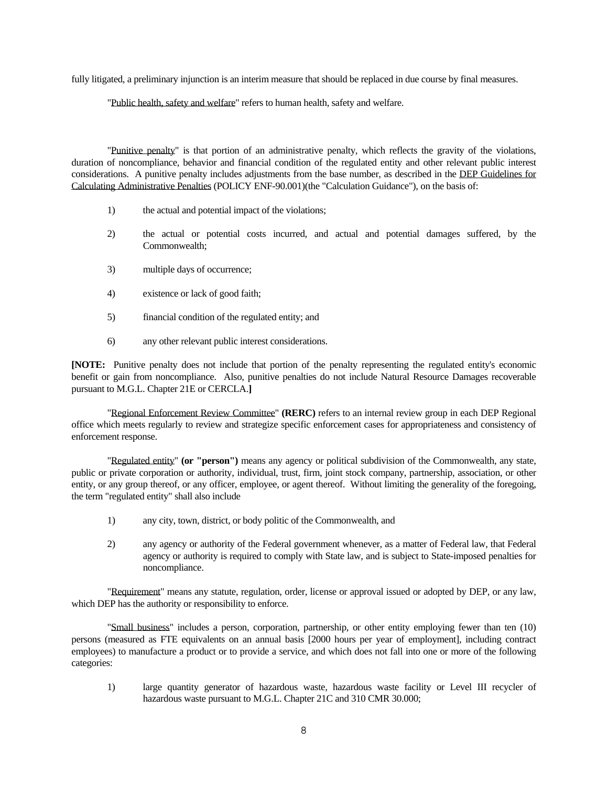fully litigated, a preliminary injunction is an interim measure that should be replaced in due course by final measures.

"Public health, safety and welfare" refers to human health, safety and welfare.

 "Punitive penalty" is that portion of an administrative penalty, which reflects the gravity of the violations, duration of noncompliance, behavior and financial condition of the regulated entity and other relevant public interest considerations. A punitive penalty includes adjustments from the base number, as described in the DEP Guidelines for Calculating Administrative Penalties (POLICY ENF-90.001)(the "Calculation Guidance"), on the basis of:

- 1) the actual and potential impact of the violations;
- 2) the actual or potential costs incurred, and actual and potential damages suffered, by the Commonwealth;
- 3) multiple days of occurrence;
- 4) existence or lack of good faith;
- 5) financial condition of the regulated entity; and
- 6) any other relevant public interest considerations.

**[NOTE:** Punitive penalty does not include that portion of the penalty representing the regulated entity's economic benefit or gain from noncompliance. Also, punitive penalties do not include Natural Resource Damages recoverable pursuant to M.G.L. Chapter 21E or CERCLA.**]** 

"Regional Enforcement Review Committee" **(RERC)** refers to an internal review group in each DEP Regional office which meets regularly to review and strategize specific enforcement cases for appropriateness and consistency of enforcement response.

 public or private corporation or authority, individual, trust, firm, joint stock company, partnership, association, or other "Regulated entity" **(or "person")** means any agency or political subdivision of the Commonwealth, any state, entity, or any group thereof, or any officer, employee, or agent thereof. Without limiting the generality of the foregoing, the term "regulated entity" shall also include

- 1) any city, town, district, or body politic of the Commonwealth, and
- 2) any agency or authority of the Federal government whenever, as a matter of Federal law, that Federal agency or authority is required to comply with State law, and is subject to State-imposed penalties for noncompliance.

 "Requirement" means any statute, regulation, order, license or approval issued or adopted by DEP, or any law, which DEP has the authority or responsibility to enforce.

 "Small business" includes a person, corporation, partnership, or other entity employing fewer than ten (10) persons (measured as FTE equivalents on an annual basis [2000 hours per year of employment], including contract employees) to manufacture a product or to provide a service, and which does not fall into one or more of the following categories:

1) large quantity generator of hazardous waste, hazardous waste facility or Level III recycler of hazardous waste pursuant to M.G.L. Chapter 21C and 310 CMR 30.000;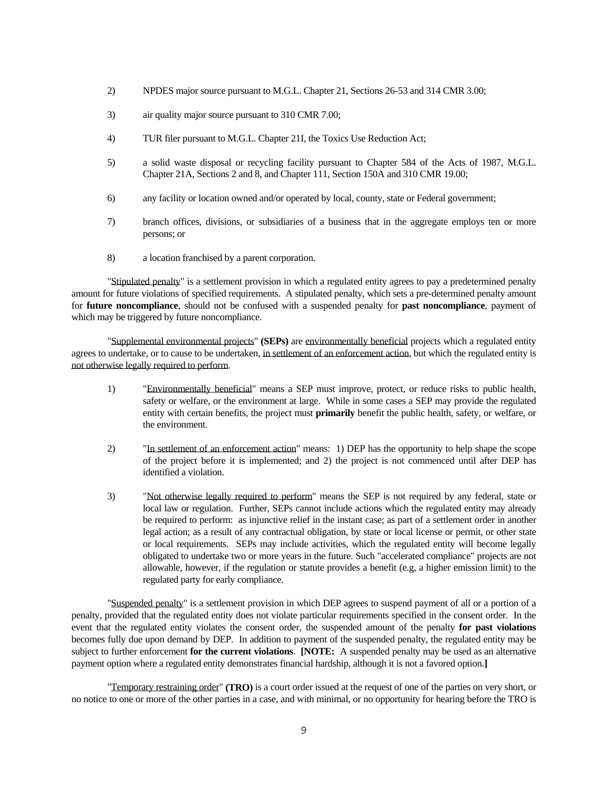- 2) NPDES major source pursuant to M.G.L. Chapter 21, Sections 26-53 and 314 CMR 3.00;
- 3) air quality major source pursuant to 310 CMR 7.00;
- 4) TUR filer pursuant to M.G.L. Chapter 21I, the Toxics Use Reduction Act;
- 5) a solid waste disposal or recycling facility pursuant to Chapter 584 of the Acts of 1987, M.G.L. Chapter 21A, Sections 2 and 8, and Chapter 111, Section 150A and 310 CMR 19.00;
- 6) any facility or location owned and/or operated by local, county, state or Federal government;
- 7) branch offices, divisions, or subsidiaries of a business that in the aggregate employs ten or more persons; or
- 8) a location franchised by a parent corporation.

 "Stipulated penalty" is a settlement provision in which a regulated entity agrees to pay a predetermined penalty amount for future violations of specified requirements. A stipulated penalty, which sets a pre-determined penalty amount for **future noncompliance**, should not be confused with a suspended penalty for **past noncompliance**, payment of which may be triggered by future noncompliance.

"Supplemental environmental projects" **(SEPs)** are environmentally beneficial projects which a regulated entity agrees to undertake, or to cause to be undertaken, in settlement of an enforcement action, but which the regulated entity is not otherwise legally required to perform.

- 1) "Environmentally beneficial" means a SEP must improve, protect, or reduce risks to public health, safety or welfare, or the environment at large. While in some cases a SEP may provide the regulated entity with certain benefits, the project must **primarily** benefit the public health, safety, or welfare, or the environment.
- 2) "In settlement of an enforcement action" means: 1) DEP has the opportunity to help shape the scope of the project before it is implemented; and 2) the project is not commenced until after DEP has identified a violation.
- 3) "Not otherwise legally required to perform" means the SEP is not required by any federal, state or be required to perform: as injunctive relief in the instant case; as part of a settlement order in another local law or regulation. Further, SEPs cannot include actions which the regulated entity may already legal action; as a result of any contractual obligation, by state or local license or permit, or other state or local requirements. SEPs may include activities, which the regulated entity will become legally obligated to undertake two or more years in the future. Such "accelerated compliance" projects are not allowable, however, if the regulation or statute provides a benefit (e.g, a higher emission limit) to the regulated party for early compliance.

 penalty, provided that the regulated entity does not violate particular requirements specified in the consent order. In the subject to further enforcement **for the current violations**. **[NOTE:** A suspended penalty may be used as an alternative "Suspended penalty" is a settlement provision in which DEP agrees to suspend payment of all or a portion of a event that the regulated entity violates the consent order, the suspended amount of the penalty **for past violations**  becomes fully due upon demand by DEP. In addition to payment of the suspended penalty, the regulated entity may be payment option where a regulated entity demonstrates financial hardship, although it is not a favored option.**]**

 "Temporary restraining order" **(TRO)** is a court order issued at the request of one of the parties on very short, or no notice to one or more of the other parties in a case, and with minimal, or no opportunity for hearing before the TRO is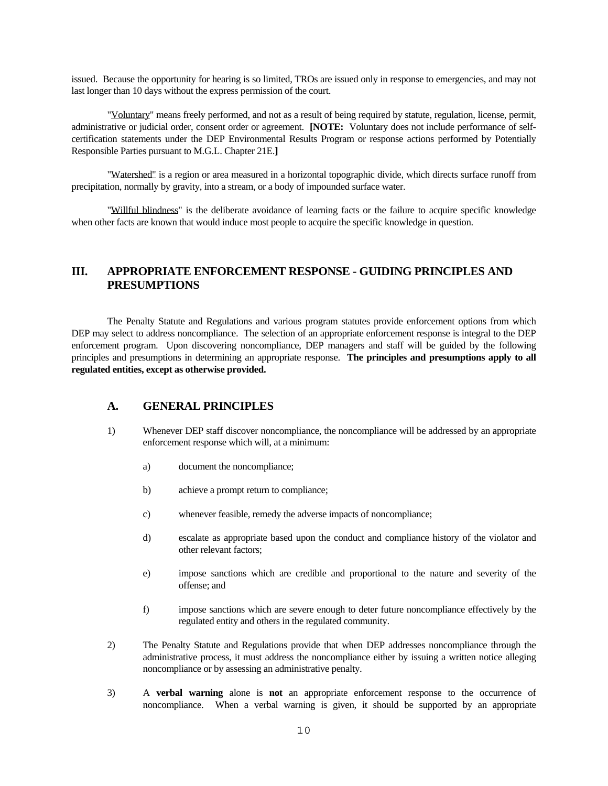last longer than 10 days without the express permission of the court. issued. Because the opportunity for hearing is so limited, TROs are issued only in response to emergencies, and may not

 administrative or judicial order, consent order or agreement. **[NOTE:** Voluntary does not include performance of self- "Voluntary" means freely performed, and not as a result of being required by statute, regulation, license, permit, certification statements under the DEP Environmental Results Program or response actions performed by Potentially Responsible Parties pursuant to M.G.L. Chapter 21E.**]**

 "Watershed" is a region or area measured in a horizontal topographic divide, which directs surface runoff from precipitation, normally by gravity, into a stream, or a body of impounded surface water.

 "Willful blindness" is the deliberate avoidance of learning facts or the failure to acquire specific knowledge when other facts are known that would induce most people to acquire the specific knowledge in question.

# **III. APPROPRIATE ENFORCEMENT RESPONSE - GUIDING PRINCIPLES AND PRESUMPTIONS**

The Penalty Statute and Regulations and various program statutes provide enforcement options from which DEP may select to address noncompliance. The selection of an appropriate enforcement response is integral to the DEP enforcement program. Upon discovering noncompliance, DEP managers and staff will be guided by the following principles and presumptions in determining an appropriate response. **The principles and presumptions apply to all regulated entities, except as otherwise provided.** 

### **A. GENERAL PRINCIPLES**

- 1) Whenever DEP staff discover noncompliance, the noncompliance will be addressed by an appropriate enforcement response which will, at a minimum:
- a) document the noncompliance;
	- b) achieve a prompt return to compliance;
	- c) whenever feasible, remedy the adverse impacts of noncompliance;
	- d) escalate as appropriate based upon the conduct and compliance history of the violator and other relevant factors;
	- e) impose sanctions which are credible and proportional to the nature and severity of the offense; and
	- f) impose sanctions which are severe enough to deter future noncompliance effectively by the regulated entity and others in the regulated community.
- 2) The Penalty Statute and Regulations provide that when DEP addresses noncompliance through the administrative process, it must address the noncompliance either by issuing a written notice alleging noncompliance or by assessing an administrative penalty.
- noncompliance. When a verbal warning is given, it should be supported by an appropriate 3) A **verbal warning** alone is **not** an appropriate enforcement response to the occurrence of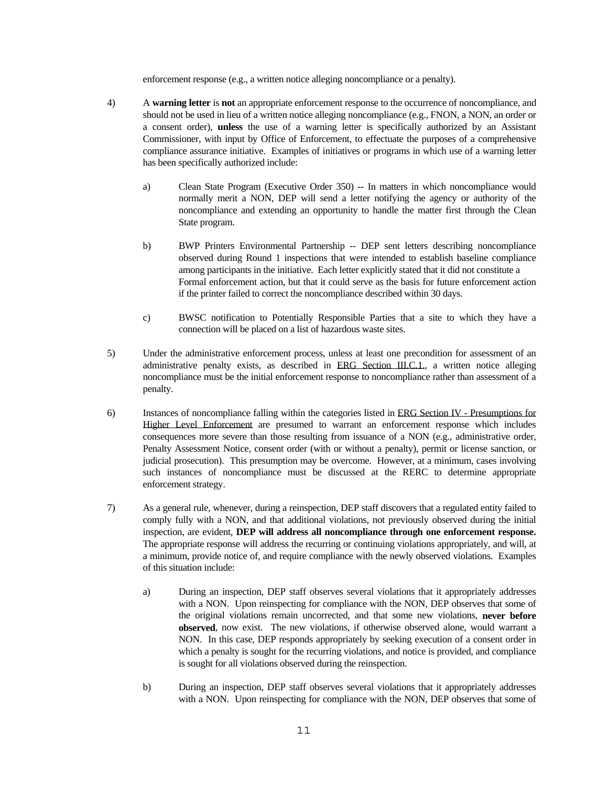enforcement response (e.g., a written notice alleging noncompliance or a penalty).

- compliance assurance initiative. Examples of initiatives or programs in which use of a warning letter 4) A **warning letter** is **not** an appropriate enforcement response to the occurrence of noncompliance, and should not be used in lieu of a written notice alleging noncompliance (e.g., FNON, a NON, an order or a consent order), **unless** the use of a warning letter is specifically authorized by an Assistant Commissioner, with input by Office of Enforcement, to effectuate the purposes of a comprehensive has been specifically authorized include:
	- a) Clean State Program (Executive Order 350) -- In matters in which noncompliance would normally merit a NON, DEP will send a letter notifying the agency or authority of the noncompliance and extending an opportunity to handle the matter first through the Clean State program.
	- b) BWP Printers Environmental Partnership -- DEP sent letters describing noncompliance observed during Round 1 inspections that were intended to establish baseline compliance among participants in the initiative. Each letter explicitly stated that it did not constitute a Formal enforcement action, but that it could serve as the basis for future enforcement action if the printer failed to correct the noncompliance described within 30 days.
	- c) BWSC notification to Potentially Responsible Parties that a site to which they have a connection will be placed on a list of hazardous waste sites.
- 5) Under the administrative enforcement process, unless at least one precondition for assessment of an administrative penalty exists, as described in ERG Section III.C.1., a written notice alleging noncompliance must be the initial enforcement response to noncompliance rather than assessment of a penalty.
- judicial prosecution). This presumption may be overcome. However, at a minimum, cases involving such instances of noncompliance must be discussed at the RERC to determine appropriate 6) Instances of noncompliance falling within the categories listed in ERG Section IV - Presumptions for Higher Level Enforcement are presumed to warrant an enforcement response which includes consequences more severe than those resulting from issuance of a NON (e.g., administrative order, Penalty Assessment Notice, consent order (with or without a penalty), permit or license sanction, or enforcement strategy.
- inspection, are evident, **DEP will address all noncompliance through one enforcement response.** 7) As a general rule, whenever, during a reinspection, DEP staff discovers that a regulated entity failed to comply fully with a NON, and that additional violations, not previously observed during the initial The appropriate response will address the recurring or continuing violations appropriately, and will, at a minimum, provide notice of, and require compliance with the newly observed violations. Examples of this situation include:
	- a) During an inspection, DEP staff observes several violations that it appropriately addresses with a NON. Upon reinspecting for compliance with the NON, DEP observes that some of the original violations remain uncorrected, and that some new violations, **never before observed**, now exist. The new violations, if otherwise observed alone, would warrant a NON. In this case, DEP responds appropriately by seeking execution of a consent order in which a penalty is sought for the recurring violations, and notice is provided, and compliance is sought for all violations observed during the reinspection.
	- b) During an inspection, DEP staff observes several violations that it appropriately addresses with a NON. Upon reinspecting for compliance with the NON, DEP observes that some of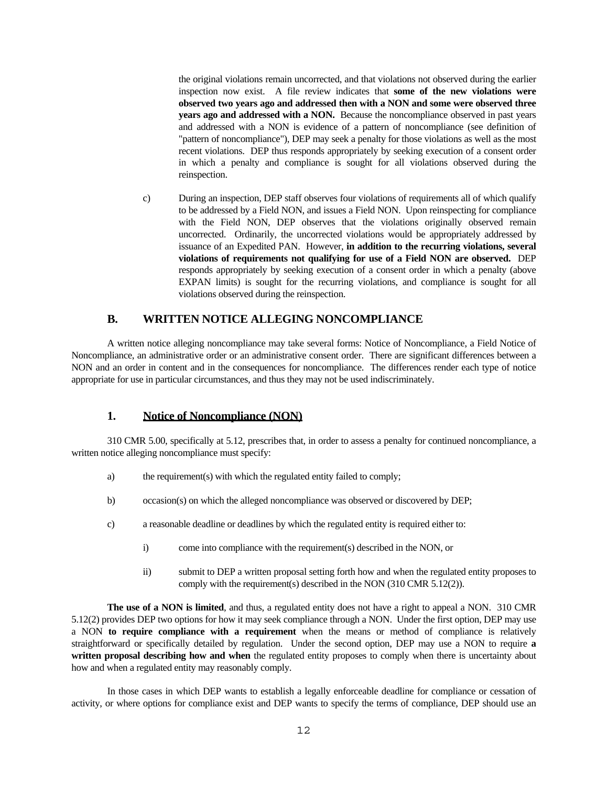the original violations remain uncorrected, and that violations not observed during the earlier inspection now exist. A file review indicates that **some of the new violations were observed two years ago and addressed then with a NON and some were observed three years ago and addressed with a NON.** Because the noncompliance observed in past years and addressed with a NON is evidence of a pattern of noncompliance (see definition of "pattern of noncompliance"), DEP may seek a penalty for those violations as well as the most recent violations. DEP thus responds appropriately by seeking execution of a consent order in which a penalty and compliance is sought for all violations observed during the reinspection.

 EXPAN limits) is sought for the recurring violations, and compliance is sought for all c) During an inspection, DEP staff observes four violations of requirements all of which qualify to be addressed by a Field NON, and issues a Field NON. Upon reinspecting for compliance with the Field NON, DEP observes that the violations originally observed remain uncorrected. Ordinarily, the uncorrected violations would be appropriately addressed by issuance of an Expedited PAN. However, **in addition to the recurring violations, several violations of requirements not qualifying for use of a Field NON are observed.** DEP responds appropriately by seeking execution of a consent order in which a penalty (above violations observed during the reinspection.

# **B. WRITTEN NOTICE ALLEGING NONCOMPLIANCE**

A written notice alleging noncompliance may take several forms: Notice of Noncompliance, a Field Notice of Noncompliance, an administrative order or an administrative consent order. There are significant differences between a NON and an order in content and in the consequences for noncompliance. The differences render each type of notice appropriate for use in particular circumstances, and thus they may not be used indiscriminately.

### **1. Notice of Noncompliance (NON)**

310 CMR 5.00, specifically at 5.12, prescribes that, in order to assess a penalty for continued noncompliance, a written notice alleging noncompliance must specify:

- a) the requirement(s) with which the regulated entity failed to comply;
- b) occasion(s) on which the alleged noncompliance was observed or discovered by DEP;
- c) a reasonable deadline or deadlines by which the regulated entity is required either to:
	- i) come into compliance with the requirement(s) described in the NON, or
	- ii) submit to DEP a written proposal setting forth how and when the regulated entity proposes to comply with the requirement(s) described in the NON (310 CMR 5.12(2)).

**The use of a NON is limited**, and thus, a regulated entity does not have a right to appeal a NON. 310 CMR 5.12(2) provides DEP two options for how it may seek compliance through a NON. Under the first option, DEP may use a NON **to require compliance with a requirement** when the means or method of compliance is relatively straightforward or specifically detailed by regulation. Under the second option, DEP may use a NON to require **a**  written proposal describing how and when the regulated entity proposes to comply when there is uncertainty about how and when a regulated entity may reasonably comply.

In those cases in which DEP wants to establish a legally enforceable deadline for compliance or cessation of activity, or where options for compliance exist and DEP wants to specify the terms of compliance, DEP should use an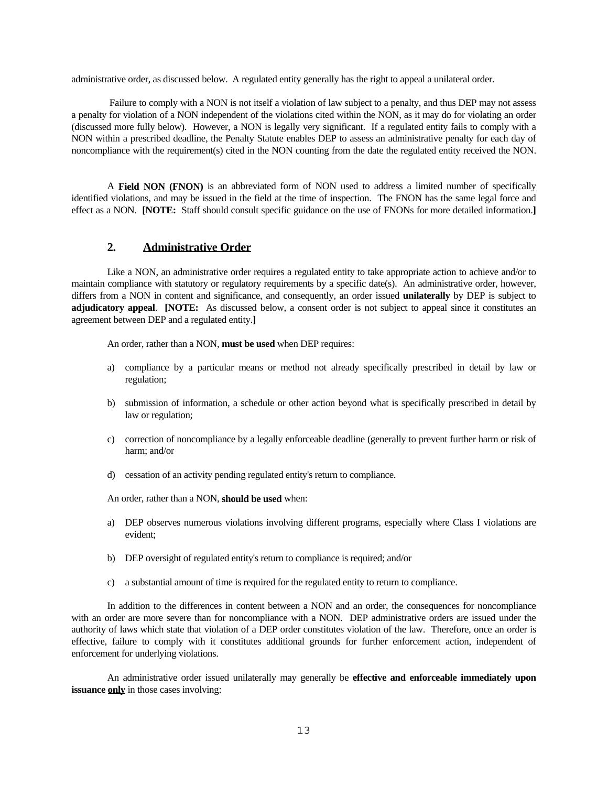administrative order, as discussed below. A regulated entity generally has the right to appeal a unilateral order.

Failure to comply with a NON is not itself a violation of law subject to a penalty, and thus DEP may not assess a penalty for violation of a NON independent of the violations cited within the NON, as it may do for violating an order (discussed more fully below). However, a NON is legally very significant. If a regulated entity fails to comply with a NON within a prescribed deadline, the Penalty Statute enables DEP to assess an administrative penalty for each day of noncompliance with the requirement(s) cited in the NON counting from the date the regulated entity received the NON.

 effect as a NON. **[NOTE:** Staff should consult specific guidance on the use of FNONs for more detailed information.**] 2. Administrative Order**  A **Field NON (FNON)** is an abbreviated form of NON used to address a limited number of specifically identified violations, and may be issued in the field at the time of inspection. The FNON has the same legal force and

 differs from a NON in content and significance, and consequently, an order issued **unilaterally** by DEP is subject to Like a NON, an administrative order requires a regulated entity to take appropriate action to achieve and/or to maintain compliance with statutory or regulatory requirements by a specific date(s). An administrative order, however, **adjudicatory appeal**. **[NOTE:** As discussed below, a consent order is not subject to appeal since it constitutes an agreement between DEP and a regulated entity.**]** 

An order, rather than a NON, **must be used** when DEP requires:

- a) compliance by a particular means or method not already specifically prescribed in detail by law or regulation;
- b) submission of information, a schedule or other action beyond what is specifically prescribed in detail by law or regulation;
- c) correction of noncompliance by a legally enforceable deadline (generally to prevent further harm or risk of harm; and/or
- d) cessation of an activity pending regulated entity's return to compliance.

An order, rather than a NON, **should be used** when:

- a) DEP observes numerous violations involving different programs, especially where Class I violations are evident;
- b) DEP oversight of regulated entity's return to compliance is required; and/or
- c) a substantial amount of time is required for the regulated entity to return to compliance.

 authority of laws which state that violation of a DEP order constitutes violation of the law. Therefore, once an order is In addition to the differences in content between a NON and an order, the consequences for noncompliance with an order are more severe than for noncompliance with a NON. DEP administrative orders are issued under the effective, failure to comply with it constitutes additional grounds for further enforcement action, independent of enforcement for underlying violations.

An administrative order issued unilaterally may generally be **effective and enforceable immediately upon issuance only** in those cases involving: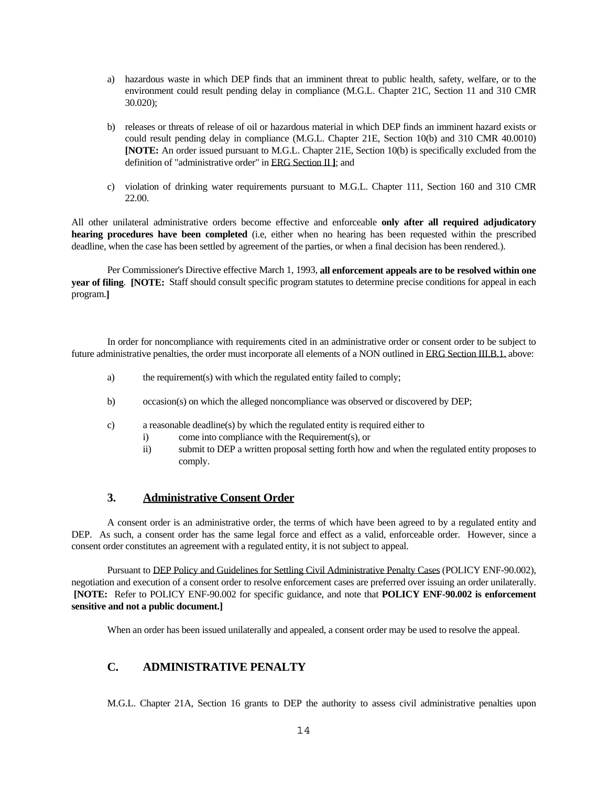- a) hazardous waste in which DEP finds that an imminent threat to public health, safety, welfare, or to the environment could result pending delay in compliance (M.G.L. Chapter 21C, Section 11 and 310 CMR 30.020);
- b) releases or threats of release of oil or hazardous material in which DEP finds an imminent hazard exists or could result pending delay in compliance (M.G.L. Chapter 21E, Section 10(b) and 310 CMR 40.0010) **[NOTE:** An order issued pursuant to M.G.L. Chapter 21E, Section 10(b) is specifically excluded from the definition of "administrative order" in ERG Section II **]**; and
- c) violation of drinking water requirements pursuant to M.G.L. Chapter 111, Section 160 and 310 CMR 22.00.

All other unilateral administrative orders become effective and enforceable **only after all required adjudicatory hearing procedures have been completed** (i.e, either when no hearing has been requested within the prescribed deadline, when the case has been settled by agreement of the parties, or when a final decision has been rendered.).

Per Commissioner's Directive effective March 1, 1993, **all enforcement appeals are to be resolved within one year of filing**. **[NOTE:** Staff should consult specific program statutes to determine precise conditions for appeal in each program.**]** 

In order for noncompliance with requirements cited in an administrative order or consent order to be subject to future administrative penalties, the order must incorporate all elements of a NON outlined in ERG Section III.B.1. above:

- a) the requirement(s) with which the regulated entity failed to comply;
- b) occasion(s) on which the alleged noncompliance was observed or discovered by DEP;
- c) a reasonable deadline(s) by which the regulated entity is required either to
	- i) come into compliance with the Requirement(s), or
	- ii) submit to DEP a written proposal setting forth how and when the regulated entity proposes to comply.

# **3. Administrative Consent Order**

 A consent order is an administrative order, the terms of which have been agreed to by a regulated entity and DEP. As such, a consent order has the same legal force and effect as a valid, enforceable order. However, since a consent order constitutes an agreement with a regulated entity, it is not subject to appeal.

 **[NOTE:** Refer to POLICY ENF-90.002 for specific guidance, and note that **POLICY ENF-90.002 is enforcement**  Pursuant to DEP Policy and Guidelines for Settling Civil Administrative Penalty Cases (POLICY ENF-90.002), negotiation and execution of a consent order to resolve enforcement cases are preferred over issuing an order unilaterally. **sensitive and not a public document.]** 

When an order has been issued unilaterally and appealed, a consent order may be used to resolve the appeal.

# **C. ADMINISTRATIVE PENALTY**

M.G.L. Chapter 21A, Section 16 grants to DEP the authority to assess civil administrative penalties upon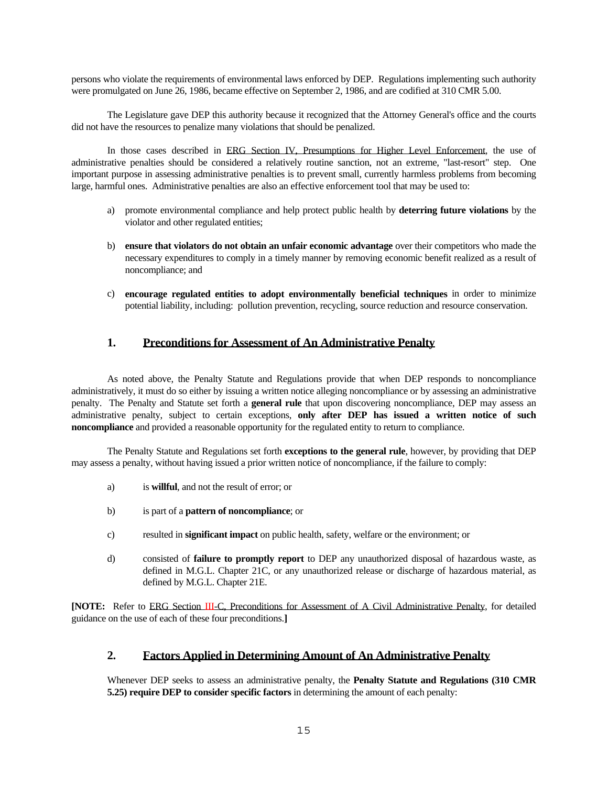persons who violate the requirements of environmental laws enforced by DEP. Regulations implementing such authority were promulgated on June 26, 1986, became effective on September 2, 1986, and are codified at 310 CMR 5.00.

The Legislature gave DEP this authority because it recognized that the Attorney General's office and the courts did not have the resources to penalize many violations that should be penalized.

 important purpose in assessing administrative penalties is to prevent small, currently harmless problems from becoming In those cases described in ERG Section IV, Presumptions for Higher Level Enforcement, the use of administrative penalties should be considered a relatively routine sanction, not an extreme, "last-resort" step. One large, harmful ones. Administrative penalties are also an effective enforcement tool that may be used to:

- a) promote environmental compliance and help protect public health by **deterring future violations** by the violator and other regulated entities;
- b) **ensure that violators do not obtain an unfair economic advantage** over their competitors who made the necessary expenditures to comply in a timely manner by removing economic benefit realized as a result of noncompliance; and
- c) **encourage regulated entities to adopt environmentally beneficial techniques** in order to minimize potential liability, including: pollution prevention, recycling, source reduction and resource conservation.

### **1. Preconditions for Assessment of An Administrative Penalty**

As noted above, the Penalty Statute and Regulations provide that when DEP responds to noncompliance administratively, it must do so either by issuing a written notice alleging noncompliance or by assessing an administrative penalty. The Penalty and Statute set forth a **general rule** that upon discovering noncompliance, DEP may assess an administrative penalty, subject to certain exceptions, **only after DEP has issued a written notice of such noncompliance** and provided a reasonable opportunity for the regulated entity to return to compliance.

The Penalty Statute and Regulations set forth **exceptions to the general rule**, however, by providing that DEP may assess a penalty, without having issued a prior written notice of noncompliance, if the failure to comply:

- a) is **willful**, and not the result of error; or
- b) is part of a **pattern of noncompliance**; or
- c) resulted in **significant impact** on public health, safety, welfare or the environment; or
- d) consisted of **failure to promptly report** to DEP any unauthorized disposal of hazardous waste, as defined in M.G.L. Chapter 21C, or any unauthorized release or discharge of hazardous material, as defined by M.G.L. Chapter 21E.

guidance on the use of each of these four preconditions. **[NOTE:** Refer to ERG Section III-C, Preconditions for Assessment of A Civil Administrative Penalty, for detailed

### guidance on the use of each of these four preconditions.**] 2. Factors Applied in Determining Amount of An Administrative Penalty**

Whenever DEP seeks to assess an administrative penalty, the **Penalty Statute and Regulations (310 CMR 5.25) require DEP to consider specific factors** in determining the amount of each penalty: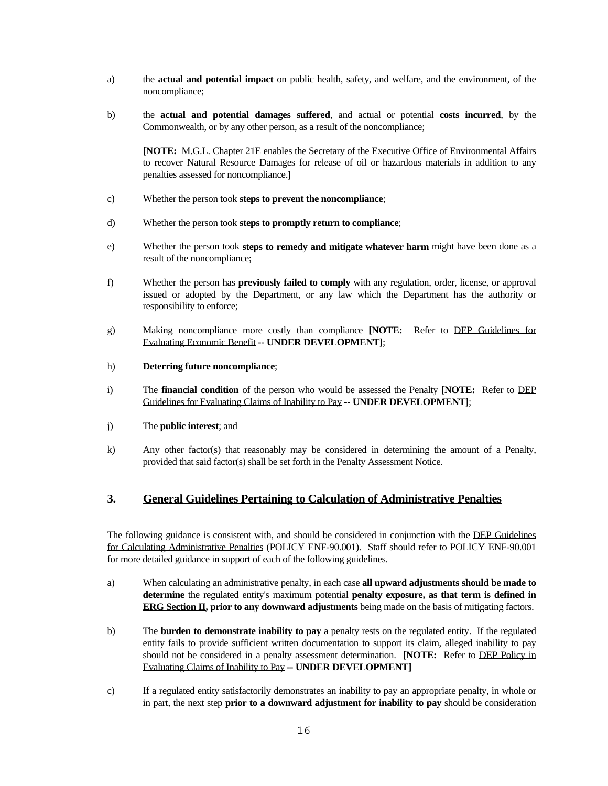- a) the **actual and potential impact** on public health, safety, and welfare, and the environment, of the noncompliance;
- b) the **actual and potential damages suffered**, and actual or potential **costs incurred**, by the Commonwealth, or by any other person, as a result of the noncompliance;

 **[NOTE:** M.G.L. Chapter 21E enables the Secretary of the Executive Office of Environmental Affairs to recover Natural Resource Damages for release of oil or hazardous materials in addition to any penalties assessed for noncompliance.**]** 

- c) Whether the person took **steps to prevent the noncompliance**;
- d) Whether the person took **steps to promptly return to compliance**;
- e) Whether the person took **steps to remedy and mitigate whatever harm** might have been done as a result of the noncompliance;
- f) Whether the person has **previously failed to comply** with any regulation, order, license, or approval issued or adopted by the Department, or any law which the Department has the authority or responsibility to enforce;
- g) Making noncompliance more costly than compliance **[NOTE:** Refer to DEP Guidelines for Evaluating Economic Benefit **-- UNDER DEVELOPMENT]**;
- h) **Deterring future noncompliance**;
- i) The **financial condition** of the person who would be assessed the Penalty **[NOTE:** Refer to DEP Guidelines for Evaluating Claims of Inability to Pay **-- UNDER DEVELOPMENT]**;
- j) The **public interest**; and
- k) Any other factor(s) that reasonably may be considered in determining the amount of a Penalty, provided that said factor(s) shall be set forth in the Penalty Assessment Notice.

### **3. General Guidelines Pertaining to Calculation of Administrative Penalties**

 for Calculating Administrative Penalties (POLICY ENF-90.001). Staff should refer to POLICY ENF-90.001 The following guidance is consistent with, and should be considered in conjunction with the DEP Guidelines for more detailed guidance in support of each of the following guidelines.

- a) When calculating an administrative penalty, in each case **all upward adjustments should be made to determine** the regulated entity's maximum potential **penalty exposure, as that term is defined in ERG Section II, prior to any downward adjustments** being made on the basis of mitigating factors.
- b) The **burden to demonstrate inability to pay** a penalty rests on the regulated entity. If the regulated entity fails to provide sufficient written documentation to support its claim, alleged inability to pay should not be considered in a penalty assessment determination. **[NOTE:** Refer to DEP Policy in Evaluating Claims of Inability to Pay **-- UNDER DEVELOPMENT]**
- c) If a regulated entity satisfactorily demonstrates an inability to pay an appropriate penalty, in whole or in part, the next step **prior to a downward adjustment for inability to pay** should be consideration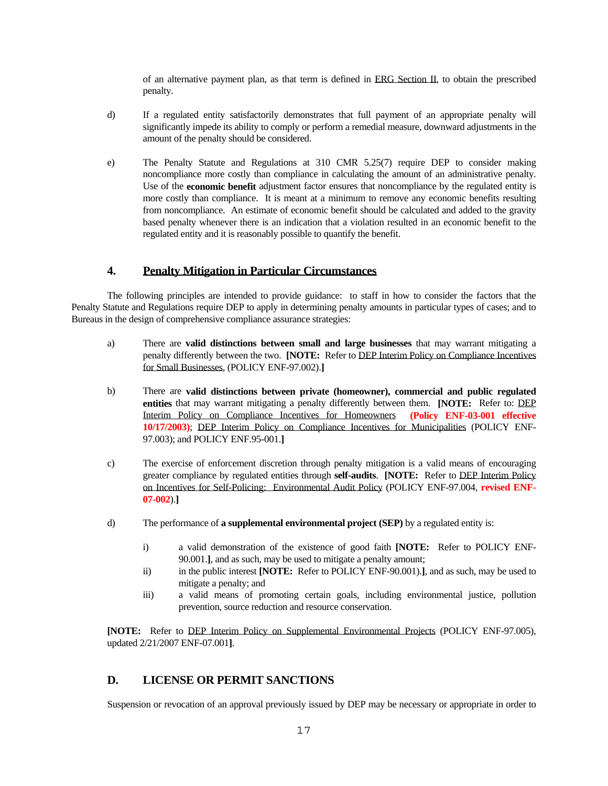of an alternative payment plan, as that term is defined in ERG Section II, to obtain the prescribed penalty.

- d) If a regulated entity satisfactorily demonstrates that full payment of an appropriate penalty will significantly impede its ability to comply or perform a remedial measure, downward adjustments in the amount of the penalty should be considered.
- noncompliance more costly than compliance in calculating the amount of an administrative penalty. Use of the **economic benefit** adjustment factor ensures that noncompliance by the regulated entity is e) The Penalty Statute and Regulations at 310 CMR 5.25(7) require DEP to consider making more costly than compliance. It is meant at a minimum to remove any economic benefits resulting from noncompliance. An estimate of economic benefit should be calculated and added to the gravity based penalty whenever there is an indication that a violation resulted in an economic benefit to the regulated entity and it is reasonably possible to quantify the benefit.

# **4. Penalty Mitigation in Particular Circumstances**

 Penalty Statute and Regulations require DEP to apply in determining penalty amounts in particular types of cases; and to The following principles are intended to provide guidance: to staff in how to consider the factors that the Bureaus in the design of comprehensive compliance assurance strategies:

- penalty differently between the two. **[NOTE:** Refer to DEP Interim Policy on Compliance Incentives a) There are **valid distinctions between small and large businesses** that may warrant mitigating a for Small Businesses, (POLICY ENF-97.002).**]**
- **entities** that may warrant mitigating a penalty differently between them. **[NOTE:** Refer to: DEP Interim Policy on Compliance Incentives for Homeowners **(Policy ENF-03-001 effective**  97.003); and POLICY ENF.95-001.**]** b) There are **valid distinctions between private (homeowner), commercial and public regulated 10/17/2003)**; DEP Interim Policy on Compliance Incentives for Municipalities (POLICY ENF-
- on Incentives for Self-Policing: Environmental Audit Policy (POLICY ENF-97.004, **revised ENF**c) The exercise of enforcement discretion through penalty mitigation is a valid means of encouraging greater compliance by regulated entities through **self-audits**. **[NOTE:** Refer to DEP Interim Policy **07-002**).**]**
- d) The performance of **a supplemental environmental project (SEP)** by a regulated entity is:
	- i) a valid demonstration of the existence of good faith **[NOTE:** Refer to POLICY ENF-90.001.**]**, and as such, may be used to mitigate a penalty amount;
	- ii) in the public interest **[NOTE:** Refer to POLICY ENF-90.001).**]**, and as such, may be used to mitigate a penalty; and
	- iii) a valid means of promoting certain goals, including environmental justice, pollution prevention, source reduction and resource conservation.

**[NOTE:** Refer to DEP Interim Policy on Supplemental Environmental Projects (POLICY ENF-97.005), updated 2/21/2007 ENF-07.001**]**.

# **D. LICENSE OR PERMIT SANCTIONS**

Suspension or revocation of an approval previously issued by DEP may be necessary or appropriate in order to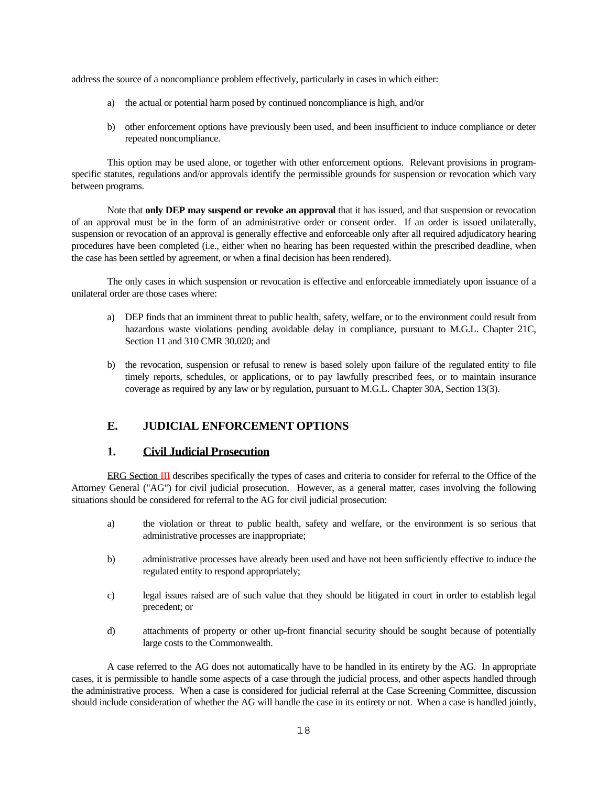address the source of a noncompliance problem effectively, particularly in cases in which either:

- a) the actual or potential harm posed by continued noncompliance is high, and/or
- b) other enforcement options have previously been used, and been insufficient to induce compliance or deter repeated noncompliance.

This option may be used alone, or together with other enforcement options. Relevant provisions in programspecific statutes, regulations and/or approvals identify the permissible grounds for suspension or revocation which vary between programs.

 Note that **only DEP may suspend or revoke an approval** that it has issued, and that suspension or revocation of an approval must be in the form of an administrative order or consent order. If an order is issued unilaterally, suspension or revocation of an approval is generally effective and enforceable only after all required adjudicatory hearing procedures have been completed (i.e., either when no hearing has been requested within the prescribed deadline, when the case has been settled by agreement, or when a final decision has been rendered).

The only cases in which suspension or revocation is effective and enforceable immediately upon issuance of a unilateral order are those cases where:

- a) DEP finds that an imminent threat to public health, safety, welfare, or to the environment could result from hazardous waste violations pending avoidable delay in compliance, pursuant to M.G.L. Chapter 21C, Section 11 and 310 CMR 30.020; and
- timely reports, schedules, or applications, or to pay lawfully prescribed fees, or to maintain insurance b) the revocation, suspension or refusal to renew is based solely upon failure of the regulated entity to file coverage as required by any law or by regulation, pursuant to M.G.L. Chapter 30A, Section 13(3).

# **E. JUDICIAL ENFORCEMENT OPTIONS**

### **1. Civil Judicial Prosecution**

 Attorney General ("AG") for civil judicial prosecution. However, as a general matter, cases involving the following ERG Section III describes specifically the types of cases and criteria to consider for referral to the Office of the situations should be considered for referral to the AG for civil judicial prosecution:

- a) the violation or threat to public health, safety and welfare, or the environment is so serious that administrative processes are inappropriate;
- b) administrative processes have already been used and have not been sufficiently effective to induce the regulated entity to respond appropriately;
- c) legal issues raised are of such value that they should be litigated in court in order to establish legal precedent; or
- d) attachments of property or other up-front financial security should be sought because of potentially large costs to the Commonwealth.

 cases, it is permissible to handle some aspects of a case through the judicial process, and other aspects handled through A case referred to the AG does not automatically have to be handled in its entirety by the AG. In appropriate the administrative process. When a case is considered for judicial referral at the Case Screening Committee, discussion should include consideration of whether the AG will handle the case in its entirety or not. When a case is handled jointly,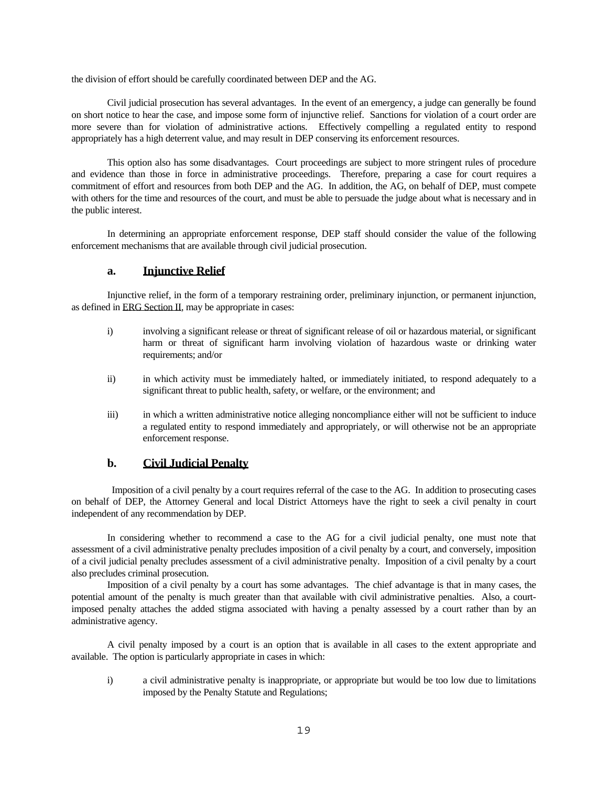the division of effort should be carefully coordinated between DEP and the AG.

 Civil judicial prosecution has several advantages. In the event of an emergency, a judge can generally be found on short notice to hear the case, and impose some form of injunctive relief. Sanctions for violation of a court order are more severe than for violation of administrative actions. Effectively compelling a regulated entity to respond appropriately has a high deterrent value, and may result in DEP conserving its enforcement resources.

This option also has some disadvantages. Court proceedings are subject to more stringent rules of procedure and evidence than those in force in administrative proceedings. Therefore, preparing a case for court requires a commitment of effort and resources from both DEP and the AG. In addition, the AG, on behalf of DEP, must compete with others for the time and resources of the court, and must be able to persuade the judge about what is necessary and in the public interest.

In determining an appropriate enforcement response, DEP staff should consider the value of the following enforcement mechanisms that are available through civil judicial prosecution.

### **a. Injunctive Relief**

Injunctive relief, in the form of a temporary restraining order, preliminary injunction, or permanent injunction, as defined in ERG Section II, may be appropriate in cases:

- i) involving a significant release or threat of significant release of oil or hazardous material, or significant harm or threat of significant harm involving violation of hazardous waste or drinking water requirements; and/or
- ii) in which activity must be immediately halted, or immediately initiated, to respond adequately to a significant threat to public health, safety, or welfare, or the environment; and
- iii) in which a written administrative notice alleging noncompliance either will not be sufficient to induce a regulated entity to respond immediately and appropriately, or will otherwise not be an appropriate enforcement response.

### **b. Civil Judicial Penalty**

Imposition of a civil penalty by a court requires referral of the case to the AG. In addition to prosecuting cases on behalf of DEP, the Attorney General and local District Attorneys have the right to seek a civil penalty in court independent of any recommendation by DEP.

In considering whether to recommend a case to the AG for a civil judicial penalty, one must note that assessment of a civil administrative penalty precludes imposition of a civil penalty by a court, and conversely, imposition of a civil judicial penalty precludes assessment of a civil administrative penalty. Imposition of a civil penalty by a court also precludes criminal prosecution.

 Imposition of a civil penalty by a court has some advantages. The chief advantage is that in many cases, the potential amount of the penalty is much greater than that available with civil administrative penalties. Also, a courtimposed penalty attaches the added stigma associated with having a penalty assessed by a court rather than by an administrative agency.

 A civil penalty imposed by a court is an option that is available in all cases to the extent appropriate and available. The option is particularly appropriate in cases in which:

i) a civil administrative penalty is inappropriate, or appropriate but would be too low due to limitations imposed by the Penalty Statute and Regulations;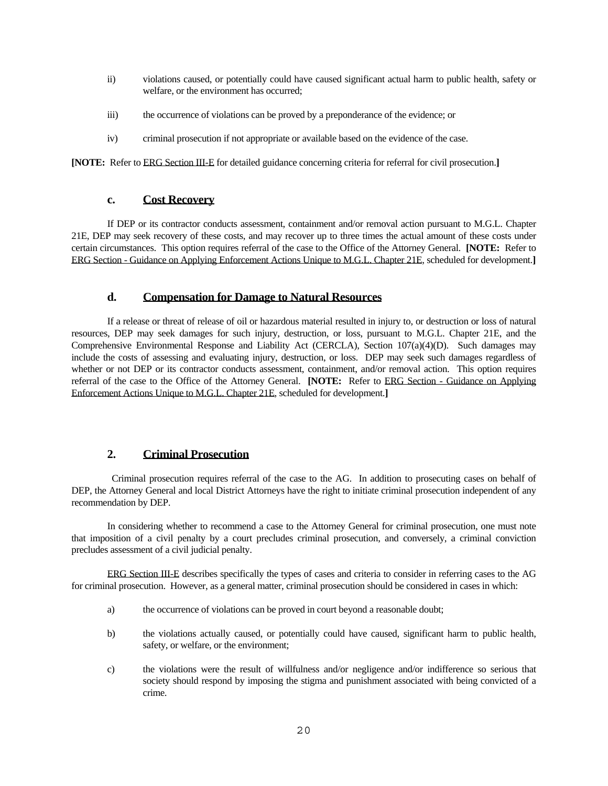- ii) violations caused, or potentially could have caused significant actual harm to public health, safety or welfare, or the environment has occurred;
- iii) the occurrence of violations can be proved by a preponderance of the evidence; or
- iv) criminal prosecution if not appropriate or available based on the evidence of the case.

**[NOTE:** Refer to ERG Section III-E for detailed guidance concerning criteria for referral for civil prosecution.**] c. Cost Recovery** 

 21E, DEP may seek recovery of these costs, and may recover up to three times the actual amount of these costs under If DEP or its contractor conducts assessment, containment and/or removal action pursuant to M.G.L. Chapter certain circumstances. This option requires referral of the case to the Office of the Attorney General. **[NOTE:** Refer to ERG Section - Guidance on Applying Enforcement Actions Unique to M.G.L. Chapter 21E, scheduled for development.**]** 

### **d. Compensation for Damage to Natural Resources**

whether or not DEP or its contractor conducts assessment, containment, and/or removal action. This option requires Enforcement Actions Unique to M.G.L. Chapter 21E, scheduled for development.**] 2. Criminal Prosecution**  If a release or threat of release of oil or hazardous material resulted in injury to, or destruction or loss of natural resources, DEP may seek damages for such injury, destruction, or loss, pursuant to M.G.L. Chapter 21E, and the Comprehensive Environmental Response and Liability Act (CERCLA), Section 107(a)(4)(D). Such damages may include the costs of assessing and evaluating injury, destruction, or loss. DEP may seek such damages regardless of referral of the case to the Office of the Attorney General. **[NOTE:** Refer to ERG Section - Guidance on Applying

Criminal prosecution requires referral of the case to the AG. In addition to prosecuting cases on behalf of DEP, the Attorney General and local District Attorneys have the right to initiate criminal prosecution independent of any recommendation by DEP.

In considering whether to recommend a case to the Attorney General for criminal prosecution, one must note that imposition of a civil penalty by a court precludes criminal prosecution, and conversely, a criminal conviction precludes assessment of a civil judicial penalty.

ERG Section III-E describes specifically the types of cases and criteria to consider in referring cases to the AG for criminal prosecution. However, as a general matter, criminal prosecution should be considered in cases in which:

- a) the occurrence of violations can be proved in court beyond a reasonable doubt;
- b) the violations actually caused, or potentially could have caused, significant harm to public health, safety, or welfare, or the environment;
- c) the violations were the result of willfulness and/or negligence and/or indifference so serious that society should respond by imposing the stigma and punishment associated with being convicted of a crime.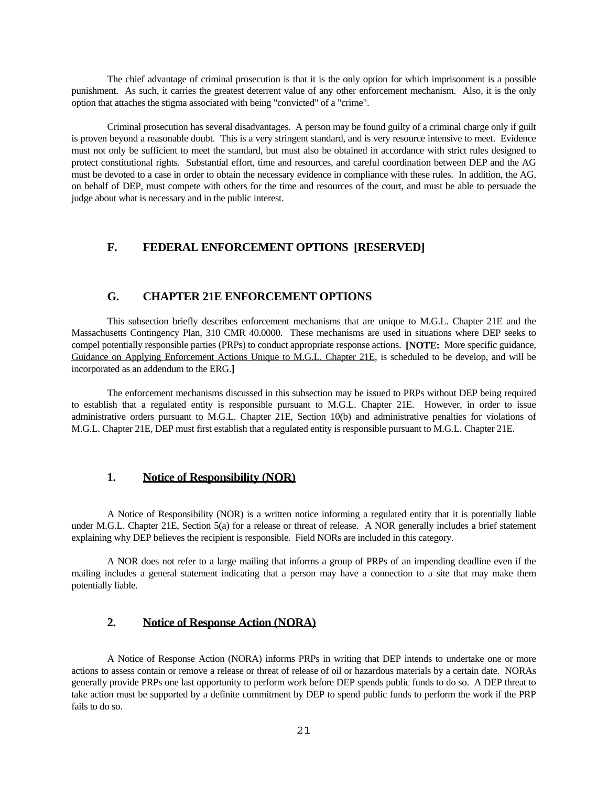punishment. As such, it carries the greatest deterrent value of any other enforcement mechanism. Also, it is the only The chief advantage of criminal prosecution is that it is the only option for which imprisonment is a possible option that attaches the stigma associated with being "convicted" of a "crime".

 is proven beyond a reasonable doubt. This is a very stringent standard, and is very resource intensive to meet. Evidence Criminal prosecution has several disadvantages. A person may be found guilty of a criminal charge only if guilt must not only be sufficient to meet the standard, but must also be obtained in accordance with strict rules designed to protect constitutional rights. Substantial effort, time and resources, and careful coordination between DEP and the AG must be devoted to a case in order to obtain the necessary evidence in compliance with these rules. In addition, the AG, on behalf of DEP, must compete with others for the time and resources of the court, and must be able to persuade the judge about what is necessary and in the public interest.

### **F. FEDERAL ENFORCEMENT OPTIONS [RESERVED]**

### **G. CHAPTER 21E ENFORCEMENT OPTIONS**

This subsection briefly describes enforcement mechanisms that are unique to M.G.L. Chapter 21E and the Massachusetts Contingency Plan, 310 CMR 40.0000. These mechanisms are used in situations where DEP seeks to compel potentially responsible parties (PRPs) to conduct appropriate response actions. **[NOTE:** More specific guidance, Guidance on Applying Enforcement Actions Unique to M.G.L. Chapter 21E, is scheduled to be develop, and will be incorporated as an addendum to the ERG.**]** 

 The enforcement mechanisms discussed in this subsection may be issued to PRPs without DEP being required administrative orders pursuant to M.G.L. Chapter 21E, Section 10(b) and administrative penalties for violations of to establish that a regulated entity is responsible pursuant to M.G.L. Chapter 21E. However, in order to issue M.G.L. Chapter 21E, DEP must first establish that a regulated entity is responsible pursuant to M.G.L. Chapter 21E.

### **1. Notice of Responsibility (NOR)**

A Notice of Responsibility (NOR) is a written notice informing a regulated entity that it is potentially liable under M.G.L. Chapter 21E, Section 5(a) for a release or threat of release. A NOR generally includes a brief statement explaining why DEP believes the recipient is responsible. Field NORs are included in this category.

 mailing includes a general statement indicating that a person may have a connection to a site that may make them A NOR does not refer to a large mailing that informs a group of PRPs of an impending deadline even if the potentially liable.

# **2. Notice of Response Action (NORA)**

 generally provide PRPs one last opportunity to perform work before DEP spends public funds to do so. A DEP threat to A Notice of Response Action (NORA) informs PRPs in writing that DEP intends to undertake one or more actions to assess contain or remove a release or threat of release of oil or hazardous materials by a certain date. NORAs take action must be supported by a definite commitment by DEP to spend public funds to perform the work if the PRP fails to do so.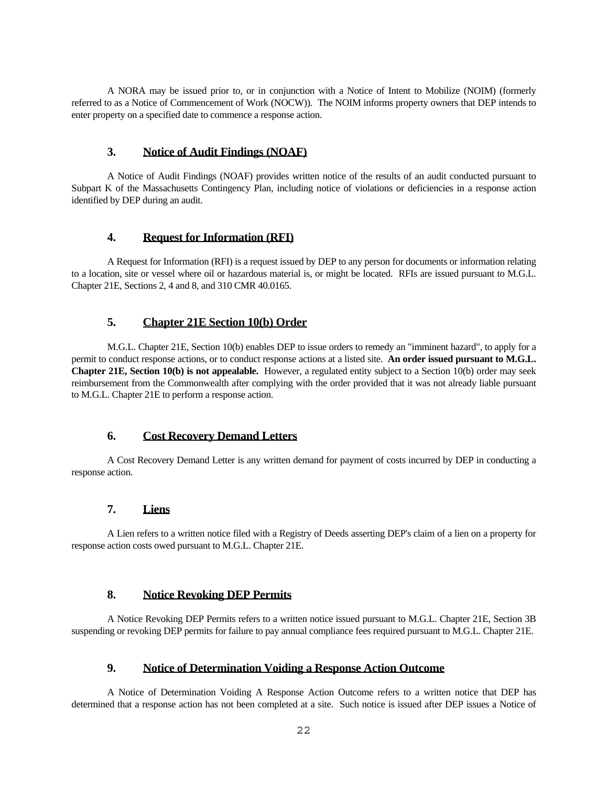A NORA may be issued prior to, or in conjunction with a Notice of Intent to Mobilize (NOIM) (formerly referred to as a Notice of Commencement of Work (NOCW)). The NOIM informs property owners that DEP intends to enter property on a specified date to commence a response action.

### **3. Notice of Audit Findings (NOAF)**

A Notice of Audit Findings (NOAF) provides written notice of the results of an audit conducted pursuant to Subpart K of the Massachusetts Contingency Plan, including notice of violations or deficiencies in a response action identified by DEP during an audit.

### **4. Request for Information (RFI)**

A Request for Information (RFI) is a request issued by DEP to any person for documents or information relating to a location, site or vessel where oil or hazardous material is, or might be located. RFIs are issued pursuant to M.G.L. Chapter 21E, Sections 2, 4 and 8, and 310 CMR 40.0165.

# **5. Chapter 21E Section 10(b) Order**

M.G.L. Chapter 21E, Section 10(b) enables DEP to issue orders to remedy an "imminent hazard", to apply for a permit to conduct response actions, or to conduct response actions at a listed site. **An order issued pursuant to M.G.L. Chapter 21E, Section 10(b) is not appealable.** However, a regulated entity subject to a Section 10(b) order may seek reimbursement from the Commonwealth after complying with the order provided that it was not already liable pursuant to M.G.L. Chapter 21E to perform a response action.

# **6. Cost Recovery Demand Letters**

A Cost Recovery Demand Letter is any written demand for payment of costs incurred by DEP in conducting a response action.

# **7. Liens**

 A Lien refers to a written notice filed with a Registry of Deeds asserting DEP's claim of a lien on a property for response action costs owed pursuant to M.G.L. Chapter 21E.

# **8. Notice Revoking DEP Permits**

A Notice Revoking DEP Permits refers to a written notice issued pursuant to M.G.L. Chapter 21E, Section 3B suspending or revoking DEP permits for failure to pay annual compliance fees required pursuant to M.G.L. Chapter 21E.

### **9. Notice of Determination Voiding a Response Action Outcome**

A Notice of Determination Voiding A Response Action Outcome refers to a written notice that DEP has determined that a response action has not been completed at a site. Such notice is issued after DEP issues a Notice of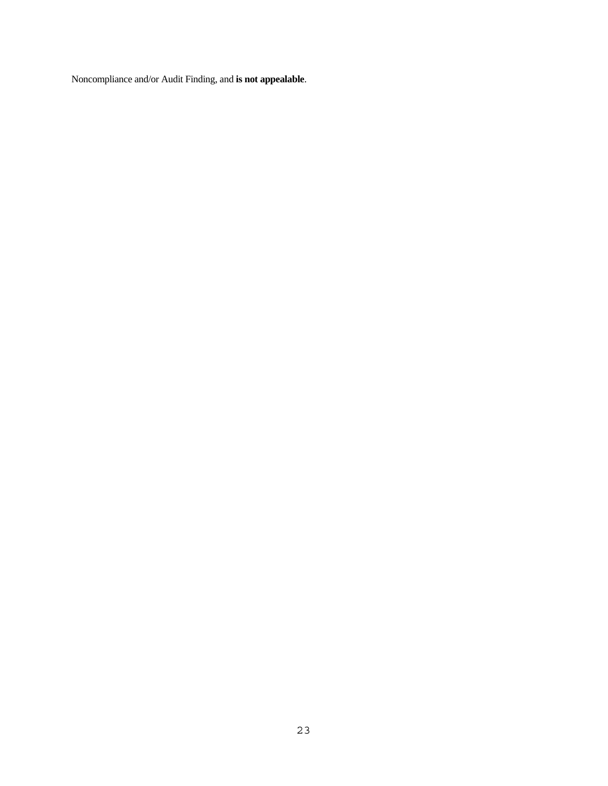Noncompliance and/or Audit Finding, and **is not appealable**.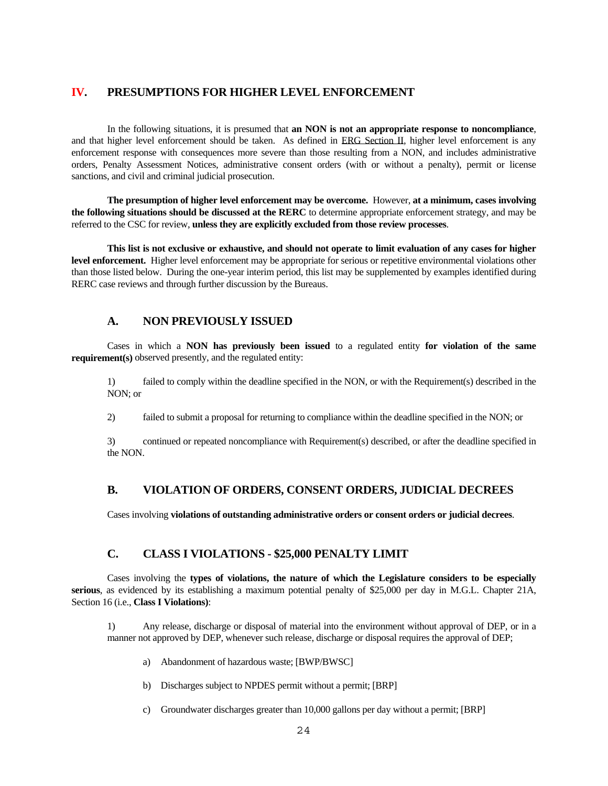# **IV. PRESUMPTIONS FOR HIGHER LEVEL ENFORCEMENT**

In the following situations, it is presumed that **an NON is not an appropriate response to noncompliance**, and that higher level enforcement should be taken. As defined in ERG Section II, higher level enforcement is any enforcement response with consequences more severe than those resulting from a NON, and includes administrative orders, Penalty Assessment Notices, administrative consent orders (with or without a penalty), permit or license sanctions, and civil and criminal judicial prosecution.

 **the following situations should be discussed at the RERC** to determine appropriate enforcement strategy, and may be **The presumption of higher level enforcement may be overcome.** However, **at a minimum, cases involving**  referred to the CSC for review, **unless they are explicitly excluded from those review processes**.

 **level enforcement.** Higher level enforcement may be appropriate for serious or repetitive environmental violations other **This list is not exclusive or exhaustive, and should not operate to limit evaluation of any cases for higher**  than those listed below. During the one-year interim period, this list may be supplemented by examples identified during RERC case reviews and through further discussion by the Bureaus.

### **A. NON PREVIOUSLY ISSUED**

Cases in which a **NON has previously been issued** to a regulated entity **for violation of the same requirement(s)** observed presently, and the regulated entity:

1) failed to comply within the deadline specified in the NON, or with the Requirement(s) described in the NON; or

2) failed to submit a proposal for returning to compliance within the deadline specified in the NON; or

3) continued or repeated noncompliance with Requirement(s) described, or after the deadline specified in the NON.

# **B. VIOLATION OF ORDERS, CONSENT ORDERS, JUDICIAL DECREES**

Cases involving **violations of outstanding administrative orders or consent orders or judicial decrees**.

# **C. CLASS I VIOLATIONS - \$25,000 PENALTY LIMIT**

 **serious**, as evidenced by its establishing a maximum potential penalty of \$25,000 per day in M.G.L. Chapter 21A, Cases involving the **types of violations, the nature of which the Legislature considers to be especially**  Section 16 (i.e., **Class I Violations)**:

1) Any release, discharge or disposal of material into the environment without approval of DEP, or in a manner not approved by DEP, whenever such release, discharge or disposal requires the approval of DEP;

- a) Abandonment of hazardous waste; [BWP/BWSC]
- b) Discharges subject to NPDES permit without a permit; [BRP]
- c) Groundwater discharges greater than 10,000 gallons per day without a permit; [BRP]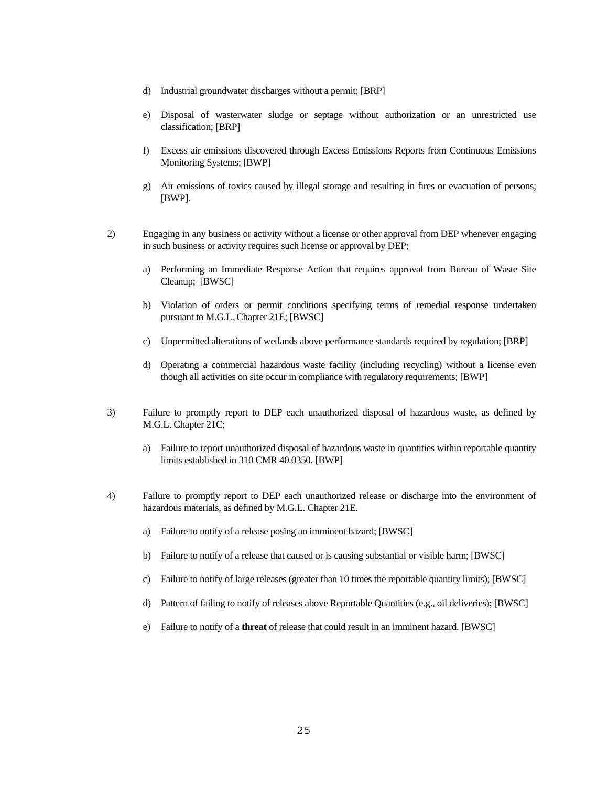- d) Industrial groundwater discharges without a permit; [BRP]
- e) Disposal of wasterwater sludge or septage without authorization or an unrestricted use classification; [BRP]
- f) Excess air emissions discovered through Excess Emissions Reports from Continuous Emissions Monitoring Systems; [BWP]
- g) Air emissions of toxics caused by illegal storage and resulting in fires or evacuation of persons;
- [BWP]. 2) Engaging in any business or activity without a license or other approval from DEP whenever engaging in such business or activity requires such license or approval by DEP;
	- a) Performing an Immediate Response Action that requires approval from Bureau of Waste Site Cleanup; [BWSC]
	- b) Violation of orders or permit conditions specifying terms of remedial response undertaken pursuant to M.G.L. Chapter 21E; [BWSC]
	- c) Unpermitted alterations of wetlands above performance standards required by regulation; [BRP]
	- d) Operating a commercial hazardous waste facility (including recycling) without a license even though all activities on site occur in compliance with regulatory requirements; [BWP]
- 3) Failure to promptly report to DEP each unauthorized disposal of hazardous waste, as defined by M.G.L. Chapter 21C;
	- limits established in 310 CMR 40.0350. [BWP] a) Failure to report unauthorized disposal of hazardous waste in quantities within reportable quantity
- 4) Failure to promptly report to DEP each unauthorized release or discharge into the environment of hazardous materials, as defined by M.G.L. Chapter 21E.
	- a) Failure to notify of a release posing an imminent hazard; [BWSC]
	- b) Failure to notify of a release that caused or is causing substantial or visible harm; [BWSC]
	- c) Failure to notify of large releases (greater than 10 times the reportable quantity limits); [BWSC]
	- d) Pattern of failing to notify of releases above Reportable Quantities (e.g., oil deliveries); [BWSC]
	- e) Failure to notify of a **threat** of release that could result in an imminent hazard. [BWSC]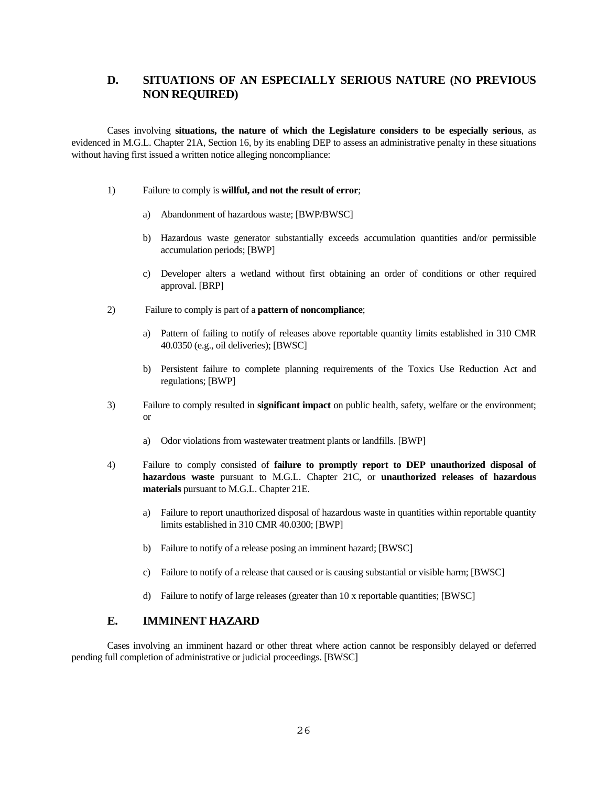# **D. SITUATIONS OF AN ESPECIALLY SERIOUS NATURE (NO PREVIOUS NON REQUIRED)**

 evidenced in M.G.L. Chapter 21A, Section 16, by its enabling DEP to assess an administrative penalty in these situations Cases involving **situations, the nature of which the Legislature considers to be especially serious**, as without having first issued a written notice alleging noncompliance:

- 1) Failure to comply is **willful, and not the result of error**;
	- a) Abandonment of hazardous waste; [BWP/BWSC]
	- b) Hazardous waste generator substantially exceeds accumulation quantities and/or permissible accumulation periods; [BWP]
	- approval. [BRP] c) Developer alters a wetland without first obtaining an order of conditions or other required
- 2) Failure to comply is part of a **pattern of noncompliance**;
	- a) Pattern of failing to notify of releases above reportable quantity limits established in 310 CMR 40.0350 (e.g., oil deliveries); [BWSC]
	- b) Persistent failure to complete planning requirements of the Toxics Use Reduction Act and regulations; [BWP]
- 3) Failure to comply resulted in **significant impact** on public health, safety, welfare or the environment; or
	- a) Odor violations from wastewater treatment plants or landfills. [BWP]
- 4) Failure to comply consisted of **failure to promptly report to DEP unauthorized disposal of hazardous waste** pursuant to M.G.L. Chapter 21C, or **unauthorized releases of hazardous materials** pursuant to M.G.L. Chapter 21E.
	- a) Failure to report unauthorized disposal of hazardous waste in quantities within reportable quantity limits established in 310 CMR 40.0300; [BWP]
	- b) Failure to notify of a release posing an imminent hazard; [BWSC]
	- c) Failure to notify of a release that caused or is causing substantial or visible harm; [BWSC]
	- d) Failure to notify of large releases (greater than 10 x reportable quantities; [BWSC]

# **E. IMMINENT HAZARD**

Cases involving an imminent hazard or other threat where action cannot be responsibly delayed or deferred pending full completion of administrative or judicial proceedings. [BWSC]